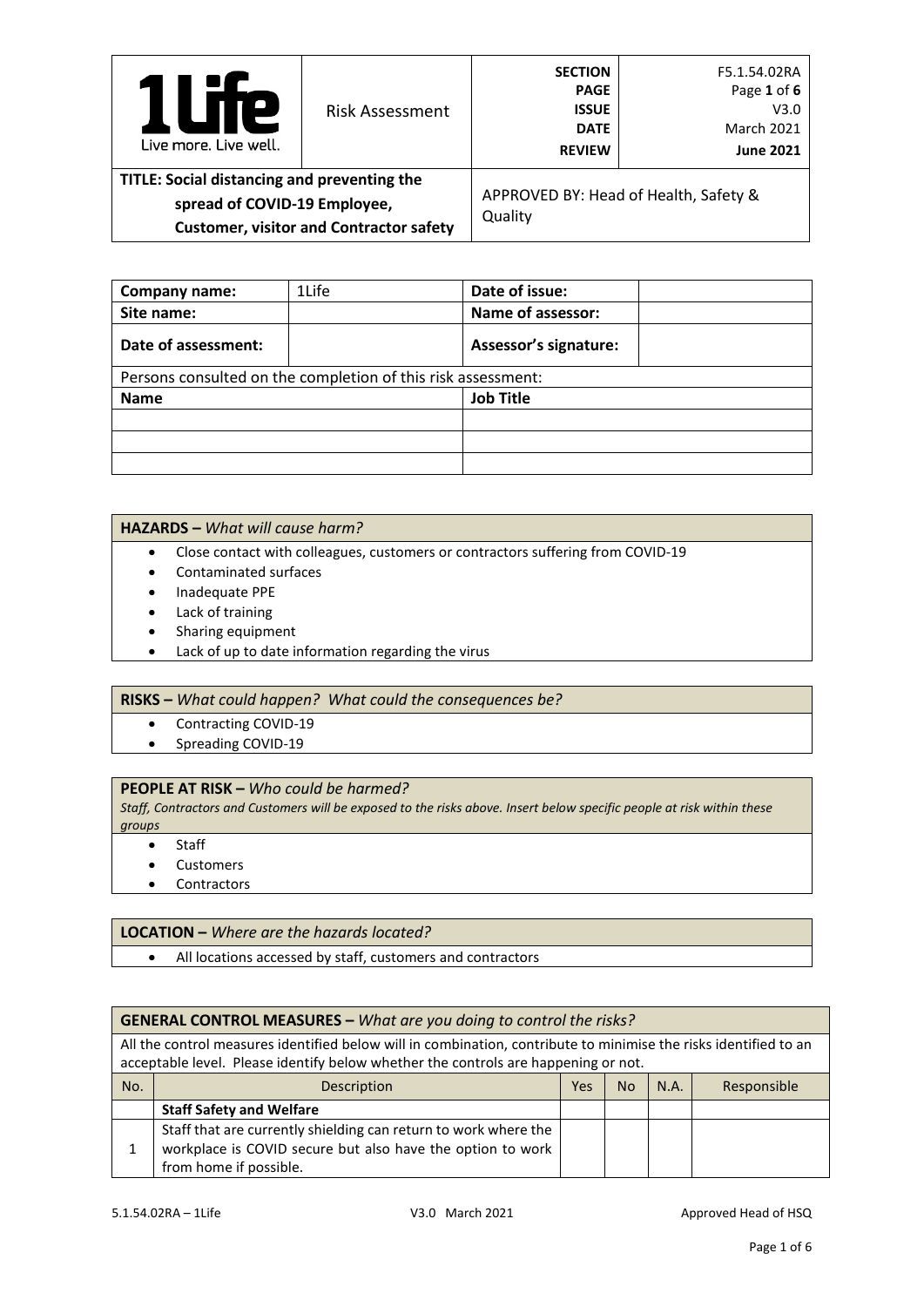| <b>TTP</b><br>$\overline{\phantom{a}}$<br>Live more, Live well.                                                               | <b>Risk Assessment</b> | <b>SECTION</b><br><b>PAGE</b><br><b>ISSUE</b><br><b>DATE</b><br><b>REVIEW</b> | F5.1.54.02RA<br>Page 1 of 6<br>V3.0<br><b>March 2021</b><br><b>June 2021</b> |
|-------------------------------------------------------------------------------------------------------------------------------|------------------------|-------------------------------------------------------------------------------|------------------------------------------------------------------------------|
| TITLE: Social distancing and preventing the<br>spread of COVID-19 Employee,<br><b>Customer, visitor and Contractor safety</b> |                        | Quality                                                                       | APPROVED BY: Head of Health, Safety &                                        |

| Company name:                                                | 1Life | Date of issue:               |  |
|--------------------------------------------------------------|-------|------------------------------|--|
| Site name:                                                   |       | Name of assessor:            |  |
| Date of assessment:                                          |       | <b>Assessor's signature:</b> |  |
| Persons consulted on the completion of this risk assessment: |       |                              |  |
| <b>Name</b>                                                  |       | <b>Job Title</b>             |  |
|                                                              |       |                              |  |
|                                                              |       |                              |  |
|                                                              |       |                              |  |

### **HAZARDS –** *What will cause harm?*

- Close contact with colleagues, customers or contractors suffering from COVID-19
- Contaminated surfaces
- Inadequate PPE
- Lack of training
- Sharing equipment
- Lack of up to date information regarding the virus

#### **RISKS –** *What could happen? What could the consequences be?*

- Contracting COVID-19
- Spreading COVID-19

## **PEOPLE AT RISK –** *Who could be harmed?*

*Staff, Contractors and Customers will be exposed to the risks above. Insert below specific people at risk within these groups*

- **Staff**
- Customers
- Contractors

#### **LOCATION –** *Where are the hazards located?*

• All locations accessed by staff, customers and contractors

## **GENERAL CONTROL MEASURES –** *What are you doing to control the risks?*

All the control measures identified below will in combination, contribute to minimise the risks identified to an acceptable level. Please identify below whether the controls are happening or not.

| No. | Description                                                     | Yes | <b>No</b> | N.A. | Responsible |
|-----|-----------------------------------------------------------------|-----|-----------|------|-------------|
|     | <b>Staff Safety and Welfare</b>                                 |     |           |      |             |
|     | Staff that are currently shielding can return to work where the |     |           |      |             |
|     | workplace is COVID secure but also have the option to work      |     |           |      |             |
|     | from home if possible.                                          |     |           |      |             |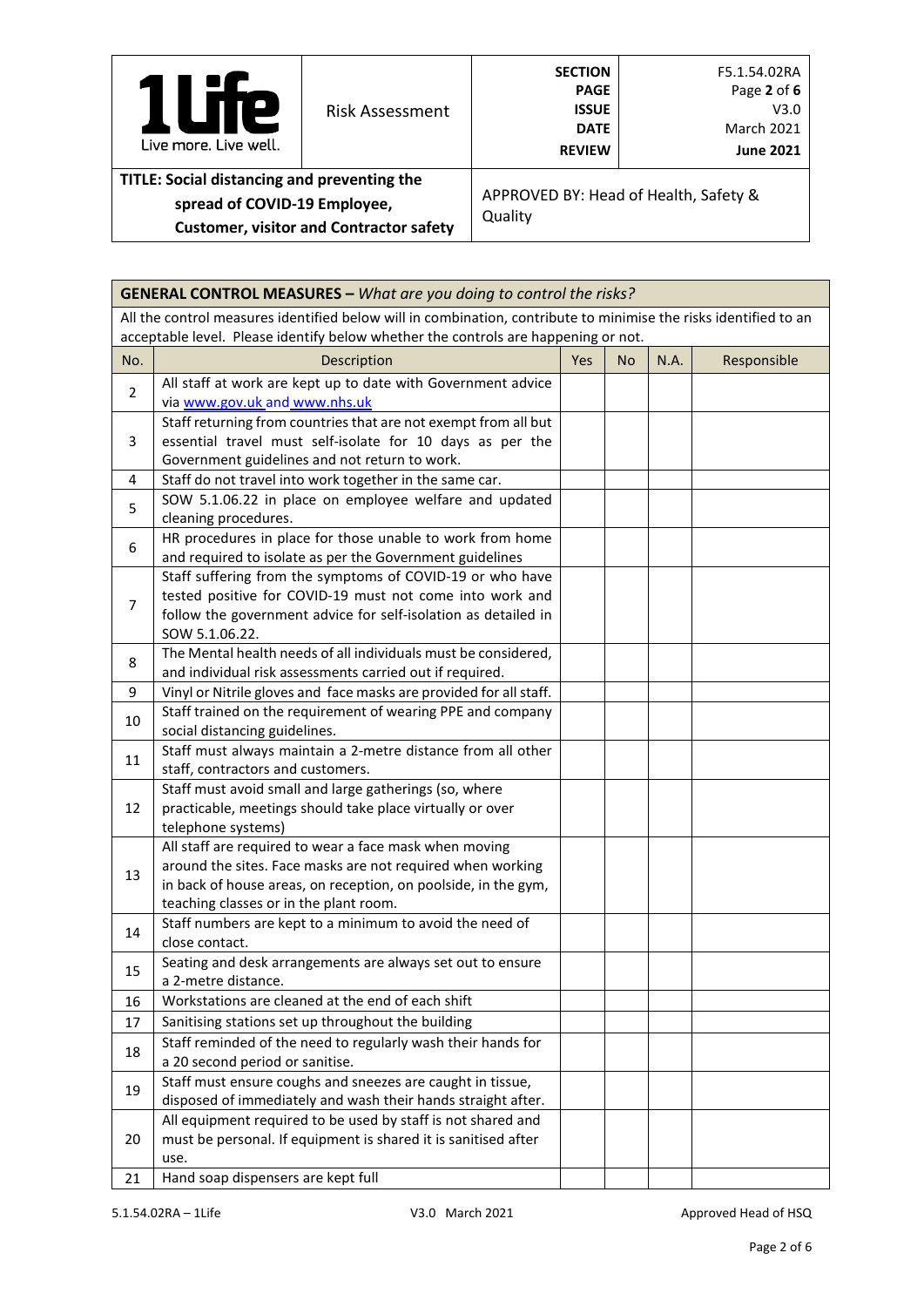| Te<br>$\mathbf{I}$<br>Live more. Live well.                                                                                   | <b>Risk Assessment</b> | <b>SECTION</b><br><b>PAGE</b><br><b>ISSUE</b><br><b>DATE</b><br><b>REVIEW</b> | F5.1.54.02RA<br>Page 2 of 6<br>V3.0<br><b>March 2021</b><br><b>June 2021</b> |
|-------------------------------------------------------------------------------------------------------------------------------|------------------------|-------------------------------------------------------------------------------|------------------------------------------------------------------------------|
| TITLE: Social distancing and preventing the<br>spread of COVID-19 Employee,<br><b>Customer, visitor and Contractor safety</b> |                        | Quality                                                                       | APPROVED BY: Head of Health, Safety &                                        |

|                | <b>GENERAL CONTROL MEASURES - What are you doing to control the risks?</b>                                                                                                                                                       |     |           |      |             |
|----------------|----------------------------------------------------------------------------------------------------------------------------------------------------------------------------------------------------------------------------------|-----|-----------|------|-------------|
|                | All the control measures identified below will in combination, contribute to minimise the risks identified to an<br>acceptable level. Please identify below whether the controls are happening or not.                           |     |           |      |             |
| No.            | Description                                                                                                                                                                                                                      | Yes | <b>No</b> | N.A. | Responsible |
| $\overline{2}$ | All staff at work are kept up to date with Government advice<br>via www.gov.uk and www.nhs.uk                                                                                                                                    |     |           |      |             |
| 3              | Staff returning from countries that are not exempt from all but<br>essential travel must self-isolate for 10 days as per the<br>Government guidelines and not return to work.                                                    |     |           |      |             |
| 4              | Staff do not travel into work together in the same car.                                                                                                                                                                          |     |           |      |             |
| 5              | SOW 5.1.06.22 in place on employee welfare and updated<br>cleaning procedures.                                                                                                                                                   |     |           |      |             |
| 6              | HR procedures in place for those unable to work from home<br>and required to isolate as per the Government guidelines                                                                                                            |     |           |      |             |
| $\overline{7}$ | Staff suffering from the symptoms of COVID-19 or who have<br>tested positive for COVID-19 must not come into work and<br>follow the government advice for self-isolation as detailed in<br>SOW 5.1.06.22.                        |     |           |      |             |
| 8              | The Mental health needs of all individuals must be considered,<br>and individual risk assessments carried out if required.                                                                                                       |     |           |      |             |
| 9              | Vinyl or Nitrile gloves and face masks are provided for all staff.                                                                                                                                                               |     |           |      |             |
| 10             | Staff trained on the requirement of wearing PPE and company<br>social distancing guidelines.                                                                                                                                     |     |           |      |             |
| 11             | Staff must always maintain a 2-metre distance from all other<br>staff, contractors and customers.                                                                                                                                |     |           |      |             |
| 12             | Staff must avoid small and large gatherings (so, where<br>practicable, meetings should take place virtually or over<br>telephone systems)                                                                                        |     |           |      |             |
| 13             | All staff are required to wear a face mask when moving<br>around the sites. Face masks are not required when working<br>in back of house areas, on reception, on poolside, in the gym,<br>teaching classes or in the plant room. |     |           |      |             |
| 14             | Staff numbers are kept to a minimum to avoid the need of<br>close contact.                                                                                                                                                       |     |           |      |             |
| 15             | Seating and desk arrangements are always set out to ensure<br>a 2-metre distance.                                                                                                                                                |     |           |      |             |
| 16             | Workstations are cleaned at the end of each shift                                                                                                                                                                                |     |           |      |             |
| 17             | Sanitising stations set up throughout the building                                                                                                                                                                               |     |           |      |             |
| 18             | Staff reminded of the need to regularly wash their hands for<br>a 20 second period or sanitise.                                                                                                                                  |     |           |      |             |
| 19             | Staff must ensure coughs and sneezes are caught in tissue,<br>disposed of immediately and wash their hands straight after.                                                                                                       |     |           |      |             |
| 20             | All equipment required to be used by staff is not shared and<br>must be personal. If equipment is shared it is sanitised after<br>use.                                                                                           |     |           |      |             |
| 21             | Hand soap dispensers are kept full                                                                                                                                                                                               |     |           |      |             |

r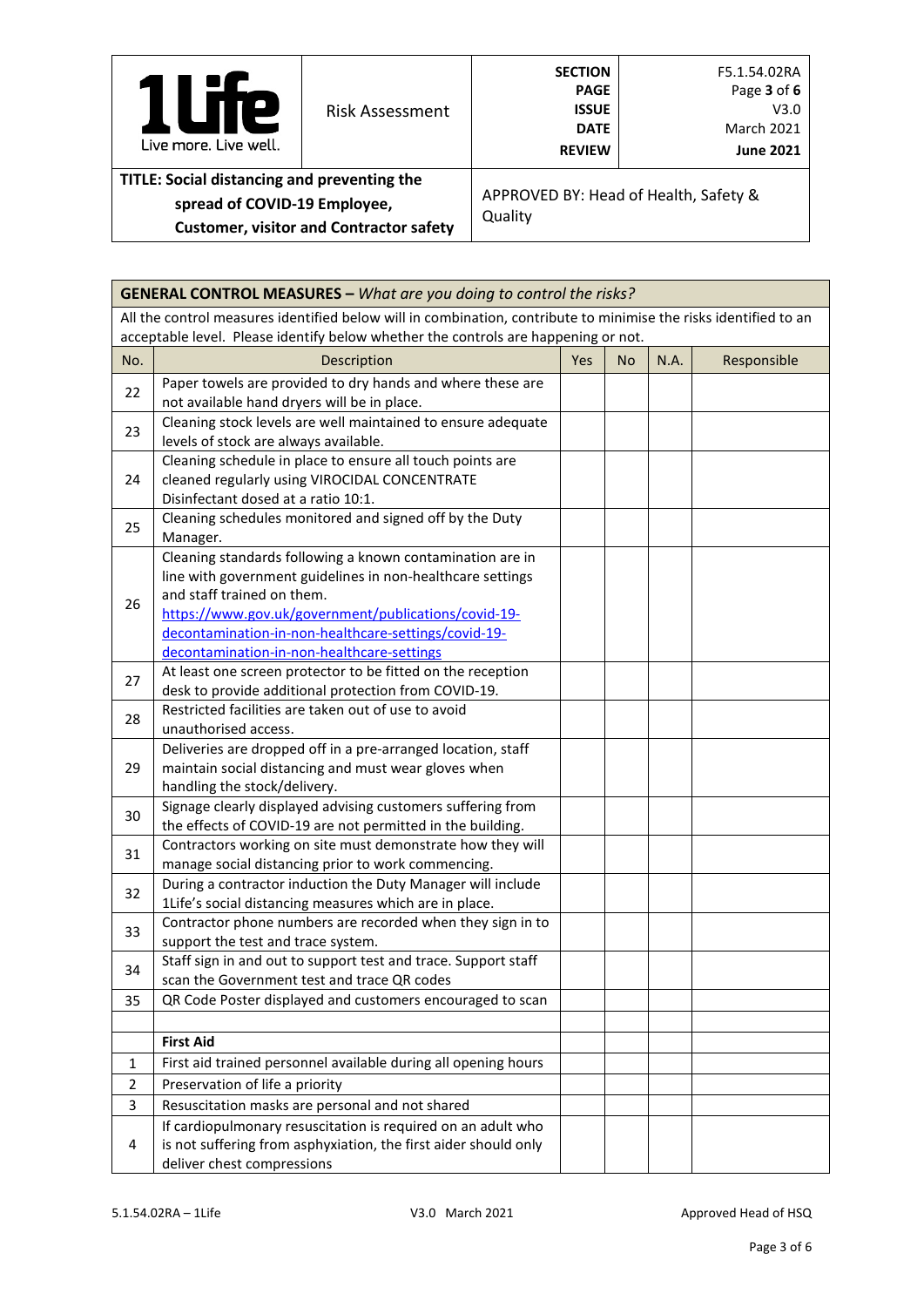| Р<br>Live more, Live well.                                                  | Risk Assessment                                | <b>SECTION</b><br><b>PAGE</b><br><b>ISSUE</b><br><b>DATE</b><br><b>REVIEW</b> | F5.1.54.02RA<br>Page 3 of 6<br>V3.0<br><b>March 2021</b><br><b>June 2021</b> |
|-----------------------------------------------------------------------------|------------------------------------------------|-------------------------------------------------------------------------------|------------------------------------------------------------------------------|
| TITLE: Social distancing and preventing the<br>spread of COVID-19 Employee, | <b>Customer, visitor and Contractor safety</b> | Quality                                                                       | APPROVED BY: Head of Health, Safety &                                        |

|             | <b>GENERAL CONTROL MEASURES - What are you doing to control the risks?</b>                                                                                                                                                                                                                                          |     |           |      |             |
|-------------|---------------------------------------------------------------------------------------------------------------------------------------------------------------------------------------------------------------------------------------------------------------------------------------------------------------------|-----|-----------|------|-------------|
|             | All the control measures identified below will in combination, contribute to minimise the risks identified to an<br>acceptable level. Please identify below whether the controls are happening or not.                                                                                                              |     |           |      |             |
| No.         | Description                                                                                                                                                                                                                                                                                                         | Yes | <b>No</b> | N.A. | Responsible |
| 22          | Paper towels are provided to dry hands and where these are<br>not available hand dryers will be in place.                                                                                                                                                                                                           |     |           |      |             |
| 23          | Cleaning stock levels are well maintained to ensure adequate<br>levels of stock are always available.                                                                                                                                                                                                               |     |           |      |             |
| 24          | Cleaning schedule in place to ensure all touch points are<br>cleaned regularly using VIROCIDAL CONCENTRATE<br>Disinfectant dosed at a ratio 10:1.                                                                                                                                                                   |     |           |      |             |
| 25          | Cleaning schedules monitored and signed off by the Duty<br>Manager.                                                                                                                                                                                                                                                 |     |           |      |             |
| 26          | Cleaning standards following a known contamination are in<br>line with government guidelines in non-healthcare settings<br>and staff trained on them.<br>https://www.gov.uk/government/publications/covid-19-<br>decontamination-in-non-healthcare-settings/covid-19-<br>decontamination-in-non-healthcare-settings |     |           |      |             |
| 27          | At least one screen protector to be fitted on the reception<br>desk to provide additional protection from COVID-19.                                                                                                                                                                                                 |     |           |      |             |
| 28          | Restricted facilities are taken out of use to avoid<br>unauthorised access.                                                                                                                                                                                                                                         |     |           |      |             |
| 29          | Deliveries are dropped off in a pre-arranged location, staff<br>maintain social distancing and must wear gloves when<br>handling the stock/delivery.                                                                                                                                                                |     |           |      |             |
| 30          | Signage clearly displayed advising customers suffering from<br>the effects of COVID-19 are not permitted in the building.                                                                                                                                                                                           |     |           |      |             |
| 31          | Contractors working on site must demonstrate how they will<br>manage social distancing prior to work commencing.                                                                                                                                                                                                    |     |           |      |             |
| 32          | During a contractor induction the Duty Manager will include<br>1Life's social distancing measures which are in place.                                                                                                                                                                                               |     |           |      |             |
| 33          | Contractor phone numbers are recorded when they sign in to<br>support the test and trace system.                                                                                                                                                                                                                    |     |           |      |             |
| 34          | Staff sign in and out to support test and trace. Support staff<br>scan the Government test and trace QR codes                                                                                                                                                                                                       |     |           |      |             |
| 35          | QR Code Poster displayed and customers encouraged to scan                                                                                                                                                                                                                                                           |     |           |      |             |
|             |                                                                                                                                                                                                                                                                                                                     |     |           |      |             |
| $\mathbf 1$ | <b>First Aid</b><br>First aid trained personnel available during all opening hours                                                                                                                                                                                                                                  |     |           |      |             |
| 2           | Preservation of life a priority                                                                                                                                                                                                                                                                                     |     |           |      |             |
| 3           | Resuscitation masks are personal and not shared                                                                                                                                                                                                                                                                     |     |           |      |             |
| 4           | If cardiopulmonary resuscitation is required on an adult who<br>is not suffering from asphyxiation, the first aider should only<br>deliver chest compressions                                                                                                                                                       |     |           |      |             |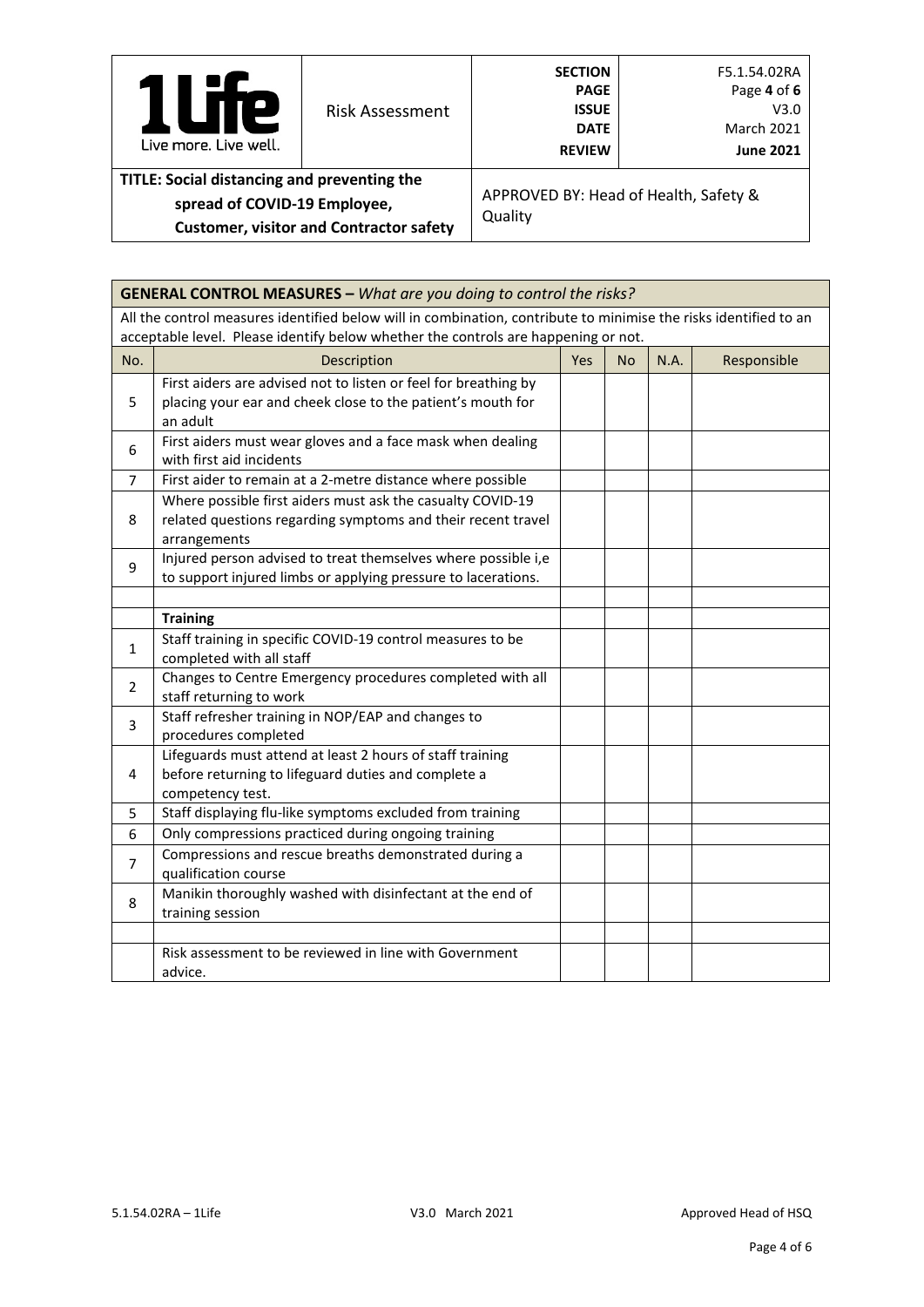| <b>Te</b><br>Live more. Live well.                                                                                            | <b>Risk Assessment</b> | <b>SECTION</b><br><b>PAGE</b><br><b>ISSUE</b><br><b>DATE</b><br><b>REVIEW</b> | F5.1.54.02RA<br>Page 4 of 6<br>V3.0<br><b>March 2021</b><br><b>June 2021</b> |
|-------------------------------------------------------------------------------------------------------------------------------|------------------------|-------------------------------------------------------------------------------|------------------------------------------------------------------------------|
| TITLE: Social distancing and preventing the<br>spread of COVID-19 Employee,<br><b>Customer, visitor and Contractor safety</b> |                        | Quality                                                                       | APPROVED BY: Head of Health, Safety &                                        |

|                | <b>GENERAL CONTROL MEASURES - What are you doing to control the risks?</b>                                                                 |     |           |             |             |
|----------------|--------------------------------------------------------------------------------------------------------------------------------------------|-----|-----------|-------------|-------------|
|                | All the control measures identified below will in combination, contribute to minimise the risks identified to an                           |     |           |             |             |
|                | acceptable level. Please identify below whether the controls are happening or not.                                                         |     |           |             |             |
| No.            | Description                                                                                                                                | Yes | <b>No</b> | <b>N.A.</b> | Responsible |
| 5              | First aiders are advised not to listen or feel for breathing by<br>placing your ear and cheek close to the patient's mouth for<br>an adult |     |           |             |             |
| 6              | First aiders must wear gloves and a face mask when dealing<br>with first aid incidents                                                     |     |           |             |             |
| 7              | First aider to remain at a 2-metre distance where possible                                                                                 |     |           |             |             |
| 8              | Where possible first aiders must ask the casualty COVID-19<br>related questions regarding symptoms and their recent travel<br>arrangements |     |           |             |             |
| 9              | Injured person advised to treat themselves where possible i,e<br>to support injured limbs or applying pressure to lacerations.             |     |           |             |             |
|                | <b>Training</b>                                                                                                                            |     |           |             |             |
| $\mathbf{1}$   | Staff training in specific COVID-19 control measures to be<br>completed with all staff                                                     |     |           |             |             |
| 2              | Changes to Centre Emergency procedures completed with all<br>staff returning to work                                                       |     |           |             |             |
| 3              | Staff refresher training in NOP/EAP and changes to<br>procedures completed                                                                 |     |           |             |             |
| 4              | Lifeguards must attend at least 2 hours of staff training<br>before returning to lifeguard duties and complete a<br>competency test.       |     |           |             |             |
| 5              | Staff displaying flu-like symptoms excluded from training                                                                                  |     |           |             |             |
| 6              | Only compressions practiced during ongoing training                                                                                        |     |           |             |             |
| $\overline{7}$ | Compressions and rescue breaths demonstrated during a<br>qualification course                                                              |     |           |             |             |
| 8              | Manikin thoroughly washed with disinfectant at the end of<br>training session                                                              |     |           |             |             |
|                |                                                                                                                                            |     |           |             |             |
|                | Risk assessment to be reviewed in line with Government<br>advice.                                                                          |     |           |             |             |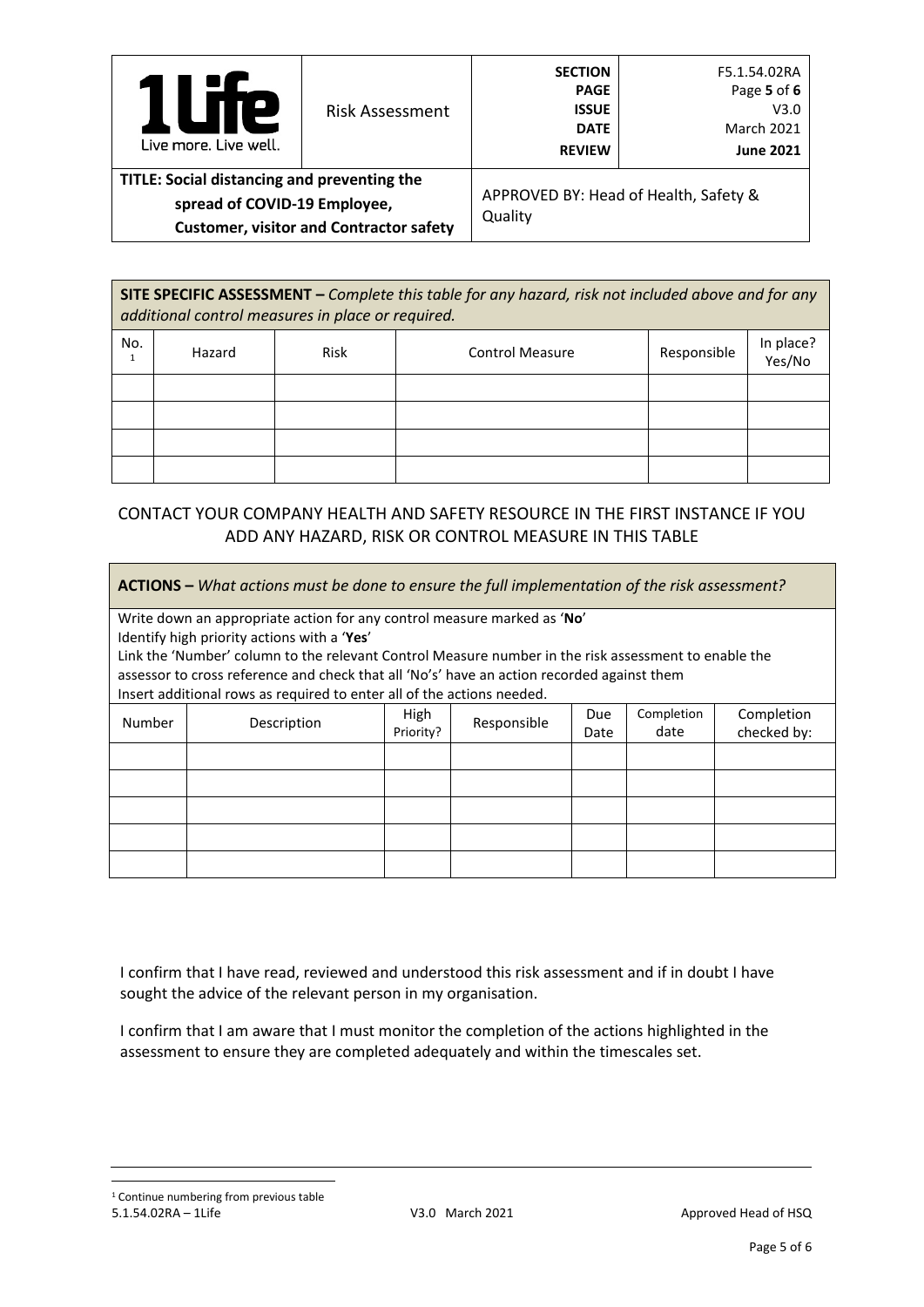| <b>P</b><br>U<br>Live more, Live well.                                      | <b>Risk Assessment</b>                         | <b>SECTION</b><br><b>PAGE</b><br><b>ISSUE</b><br><b>DATE</b><br><b>REVIEW</b> | F5.1.54.02RA<br>Page 5 of 6<br>V3.0<br><b>March 2021</b><br><b>June 2021</b> |
|-----------------------------------------------------------------------------|------------------------------------------------|-------------------------------------------------------------------------------|------------------------------------------------------------------------------|
| TITLE: Social distancing and preventing the<br>spread of COVID-19 Employee, | <b>Customer, visitor and Contractor safety</b> | Quality                                                                       | APPROVED BY: Head of Health, Safety &                                        |

**SITE SPECIFIC ASSESSMENT –** *Complete this table for any hazard, risk not included above and for any additional control measures in place or required.* No.  $\begin{array}{c|c|c|c} \text{1} & \text{1} & \text{1} & \text{1} \\ \text{1} & \text{1} & \text{1} & \text{1} \\ \text{1} & \text{1} & \text{1} & \text{1} \\ \text{2} & \text{2} & \text{2} & \text{2} \\ \text{3} & \text{3} & \text{4} & \text{2} \\ \text{4} & \text{5} & \text{2} & \text{2} \\ \text{5} & \text{1} & \text{2} & \text{2} \\ \text{2} & \text{1} & \text{2} & \text{2} \\ \text{3} & \text{2} & \text{$  $\begin{array}{c|c|c|c} \text{1} & \text{1} & \text{1} & \text{1} \\ \text{1} & \text{1} & \text{1} & \text{1} \\ \text{1} & \text{1} & \text{1} & \text{1} \\ \text{2} & \text{2} & \text{2} & \text{2} \\ \text{3} & \text{3} & \text{4} & \text{2} \\ \text{4} & \text{5} & \text{2} & \text{2} \\ \text{5} & \text{1} & \text{2} & \text{2} \\ \text{2} & \text{1} & \text{2} & \text{2} \\ \text{3} & \text{2} & \text{$  $\begin{array}{c|c|c|c} \text{1} & \text{1} & \text{1} & \text{1} \\ \text{1} & \text{1} & \text{1} & \text{1} \\ \text{1} & \text{1} & \text{1} & \text{1} \\ \text{2} & \text{2} & \text{2} & \text{2} \\ \text{3} & \text{3} & \text{4} & \text{2} \\ \text{4} & \text{5} & \text{2} & \text{2} \\ \text{5} & \text{1} & \text{2} & \text{2} \\ \text{2} & \text{1} & \text{2} & \text{2} \\ \text{3} & \text{2} & \text{$ Yes/No

# CONTACT YOUR COMPANY HEALTH AND SAFETY RESOURCE IN THE FIRST INSTANCE IF YOU ADD ANY HAZARD, RISK OR CONTROL MEASURE IN THIS TABLE

**ACTIONS –** *What actions must be done to ensure the full implementation of the risk assessment?* Write down an appropriate action for any control measure marked as '**No**' Identify high priority actions with a '**Yes**' Link the 'Number' column to the relevant Control Measure number in the risk assessment to enable the assessor to cross reference and check that all 'No's' have an action recorded against them Insert additional rows as required to enter all of the actions needed. Number Description High<br>
Priority?  $Responsible$  Due Date Completion date Completion checked by:

I confirm that I have read, reviewed and understood this risk assessment and if in doubt I have sought the advice of the relevant person in my organisation.

I confirm that I am aware that I must monitor the completion of the actions highlighted in the assessment to ensure they are completed adequately and within the timescales set.

<span id="page-4-0"></span>5.1.54.02RA – 1Life **V3.0 March 2021** V3.0 March 2021 <sup>1</sup> Continue numbering from previous table